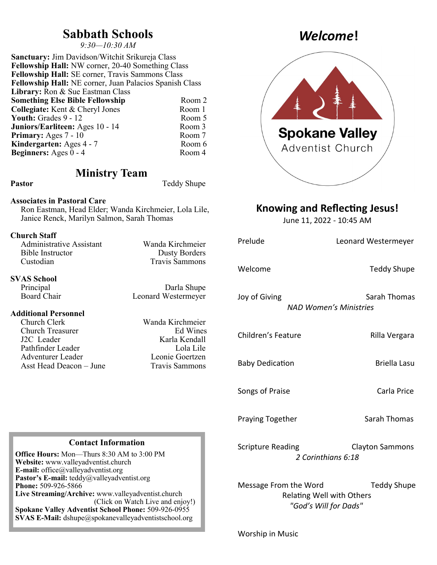## **Sabbath Schools**

*9:30—10:30 AM*

**Sanctuary:** Jim Davidson/Witchit Srikureja Class **Fellowship Hall:** NW corner, 20-40 Something Class **Fellowship Hall:** SE corner, Travis Sammons Class **Fellowship Hall:** NE corner, Juan Palacios Spanish Class Library: Ron & Sue Eastman Class **Something Else Bible Fellowship** Room 2 **Collegiate:** Kent & Cheryl Jones Room 1<br> **Youth:** Grades 9 - 12 Room 5 **Youth:** Grades 9 - 12 **Juniors/Earliteen:** Ages 10 - 14 Room 3<br> **Primary:** Ages 7 - 10 Room 7 **Primary:** Ages 7 - 10 **Kindergarten:** Ages 4 - 7 Room 6<br> **Reginners:** Ages 0 - 4 Room 4 **Beginners:** Ages  $0 - 4$ 

### **Ministry Team**

Pastor Teddy Shupe

### **Associates in Pastoral Care**

Ron Eastman, Head Elder; Wanda Kirchmeier, Lola Lile, Janice Renck, Marilyn Salmon, Sarah Thomas

#### **Church Staff**

| Wanda Kirchmeier      |
|-----------------------|
| <b>Dusty Borders</b>  |
| <b>Travis Sammons</b> |
|                       |

# **SVAS School**

#### **Additional Personnel**

Church Clerk Wanda Kirchmeier Church Treasurer J2C Leader Karla Kendall Pathfinder Leader Lola Lile Adventurer Leader Leonie Goertzen Asst Head Deacon – June Travis Sammons

Darla Shupe Board Chair Leonard Westermeyer

#### **Contact Information**

**Office Hours:** Mon—Thurs 8:30 AM to 3:00 PM **Website:** www.valleyadventist.church **E-mail:** office@valleyadventist.org **Pastor's E-mail:** teddy@valleyadventist.org **Phone:** 509-926-5866 **Live Streaming/Archive:** www.valleyadventist.church (Click on Watch Live and enjoy!) **Spokane Valley Adventist School Phone:** 509-926-0955 **SVAS E-Mail:** dshupe@spokanevalleyadventistschool.org

# *Welcome***!**



### **Knowing and Reflecting Jesus!**

June 11, 2022 - 10:45 AM

| Prelude                  | Leonard Westermeyer                                                      |
|--------------------------|--------------------------------------------------------------------------|
| Welcome                  | <b>Teddy Shupe</b>                                                       |
| Joy of Giving            | Sarah Thomas<br><b>NAD Women's Ministries</b>                            |
| Children's Feature       | Rilla Vergara                                                            |
| <b>Baby Dedication</b>   | <b>Briella Lasu</b>                                                      |
| Songs of Praise          | Carla Price                                                              |
| <b>Praying Together</b>  | <b>Sarah Thomas</b>                                                      |
| <b>Scripture Reading</b> | <b>Clayton Sammons</b><br>2 Corinthians 6:18                             |
| Message From the Word    | Teddy Shupe<br><b>Relating Well with Others</b><br>"God's Will for Dads" |

Worship in Music